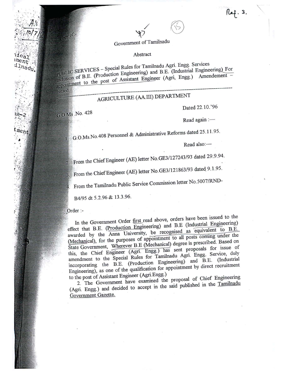## $\chi$ ) Government of Tamilnadu

/

Abstract<br>PUBLIC SERVICES – Special Rules for Tamilnadu Agri. Engg. Services  $\epsilon_{\text{S}} = \frac{1}{2} \sum_{n=1}^{\infty} \frac{1}{n}$ IC SERVICES of Breduction Engineering) and B.E. (Industrial Engineering). For usion of  $P_{\text{max}}$  of Assistant Engineer (Agri, Engg.) Amendement-Inclusion of Assistant Engineer (Agri, Engg.) Amendement -

 $ppy$  of:

. ~.

 $11c<sub>a</sub>$  $\frac{10}{10}$ ilnadu

ment

# **AGRICULTURE (AA.III) DEPARTMENT**

Dated 22.10.'96

G.O.Ms No. 428

 $^{\circ}$ 

Read again :-

C.O.Ms.No.408 Personnel & Administrative Reforms dated 25.11.95

Read also:-

fl. From the Chief Engineer (AE) letter No. GE3/127243/93 dated 29.9.94.

Erem the Chief Engineer (AE) letter No. GE3/121863/93 dated 9.1.95.

From the Tamilnadu Public Service Commission letter No.5007/RND-

B4/95 dt 5.2.96 & 13.3.96.

Order :-

In the Government Order first read above, orders have been issued to the effect that B.E. (Production Engineering) and B.E (Industrial Engineering) awarded by the Anna University, be recognised as 'equivalent to B.E. (Mechanical), for the purposes of appointment to all posts coming under the State Government, Wherever B.E (Mechanical) degree is prescribed. Based on this, the Chief Engineer (Agri. Engg.) has sent proposals for issue of amendment to the Special Rules for Tamilnadu Agri. Engg. Service, duly incorporating the B.E. (production Engineering) and B.E. (Industrial Engineering), as one of the qualification for appointment by direct recruitment to the post of Assistant Engineer (Agri Engg.)

2. The Government have examined the proposal of Chief Engineering (Agri. Engg.) and decided to accept in the said published in the Tamilnadu Government Gazette.